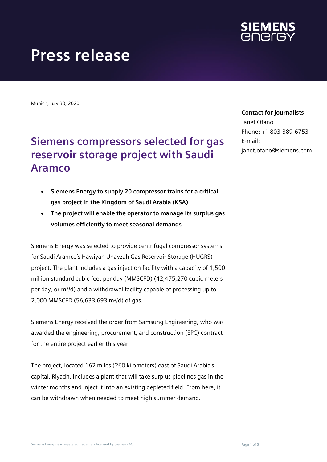

# **Press release**

Munich, July 30, 2020

## **Siemens compressors selected for gas reservoir storage project with Saudi Aramco**

- **Siemens Energy to supply 20 compressor trains for a critical gas project in the Kingdom of Saudi Arabia (KSA)**
- **The project will enable the operator to manage its surplus gas volumes efficiently to meet seasonal demands**

Siemens Energy was selected to provide centrifugal compressor systems for Saudi Aramco's Hawiyah Unayzah Gas Reservoir Storage (HUGRS) project. The plant includes a gas injection facility with a capacity of 1,500 million standard cubic feet per day (MMSCFD) (42,475,270 cubic meters per day, or m3/d) and a withdrawal facility capable of processing up to 2,000 MMSCFD (56,633,693 m3/d) of gas.

Siemens Energy received the order from Samsung Engineering, who was awarded the engineering, procurement, and construction (EPC) contract for the entire project earlier this year.

The project, located 162 miles (260 kilometers) east of Saudi Arabia's capital, Riyadh, includes a plant that will take surplus pipelines gas in the winter months and inject it into an existing depleted field. From here, it can be withdrawn when needed to meet high summer demand.

#### **Contact for journalists**

Janet Ofano Phone: +1 803-389-6753 E-mail: janet.ofano@siemens.com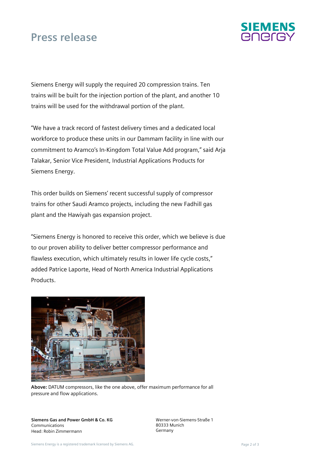### **Press release**



Siemens Energy will supply the required 20 compression trains. Ten trains will be built for the injection portion of the plant, and another 10 trains will be used for the withdrawal portion of the plant.

"We have a track record of fastest delivery times and a dedicated local workforce to produce these units in our Dammam facility in line with our commitment to Aramco's In-Kingdom Total Value Add program," said Arja Talakar, Senior Vice President, Industrial Applications Products for Siemens Energy.

This order builds on Siemens' recent successful supply of compressor trains for other Saudi Aramco projects, including the new Fadhill gas plant and the Hawiyah gas expansion project.

"Siemens Energy is honored to receive this order, which we believe is due to our proven ability to deliver better compressor performance and flawless execution, which ultimately results in lower life cycle costs," added Patrice Laporte, Head of North America Industrial Applications **Products** 



**Above:** DATUM compressors, like the one above, offer maximum performance for all pressure and flow applications.

**Siemens Gas and Power GmbH & Co. KG**  Communications Head: Robin Zimmermann

Werner-von-Siemens-Straße 1 80333 Munich Germany